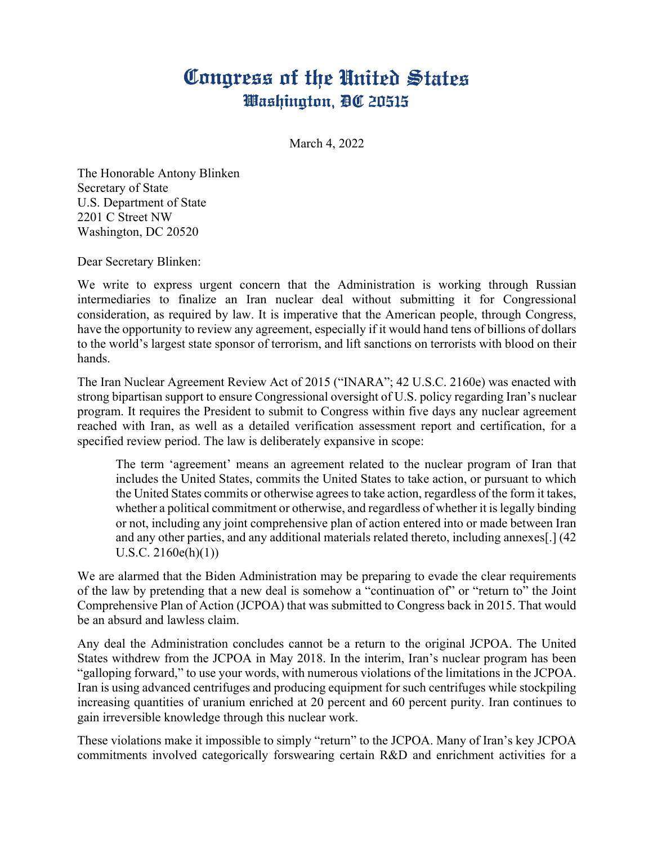## Congress of the United States Washington, DC 20515

March 4, 2022

The Honorable Antony Blinken Secretary of State U.S. Department of State 2201 C Street NW Washington, DC 20520

Dear Secretary Blinken:

We write to express urgent concern that the Administration is working through Russian intermediaries to finalize an Iran nuclear deal without submitting it for Congressional consideration, as required by law. It is imperative that the American people, through Congress, have the opportunity to review any agreement, especially if it would hand tens of billions of dollars to the world's largest state sponsor of terrorism, and lift sanctions on terrorists with blood on their hands.

The Iran Nuclear Agreement Review Act of 2015 ("INARA"; 42 U.S.C. 2160e) was enacted with strong bipartisan support to ensure Congressional oversight of U.S. policy regarding Iran's nuclear program. It requires the President to submit to Congress within five days any nuclear agreement reached with Iran, as well as a detailed verification assessment report and certification, for a specified review period. The law is deliberately expansive in scope:

The term 'agreement' means an agreement related to the nuclear program of Iran that includes the United States, commits the United States to take action, or pursuant to which the United States commits or otherwise agrees to take action, regardless of the form it takes, whether a political commitment or otherwise, and regardless of whether it is legally binding or not, including any joint comprehensive plan of action entered into or made between Iran and any other parties, and any additional materials related thereto, including annexes[.] (42 U.S.C. 2160e(h)(1))

We are alarmed that the Biden Administration may be preparing to evade the clear requirements of the law by pretending that a new deal is somehow a "continuation of" or "return to" the Joint Comprehensive Plan of Action (JCPOA) that was submitted to Congress back in 2015. That would be an absurd and lawless claim.

Any deal the Administration concludes cannot be a return to the original JCPOA. The United States withdrew from the JCPOA in May 2018. In the interim, Iran's nuclear program has been "galloping forward," to use your words, with numerous violations of the limitations in the JCPOA. Iran is using advanced centrifuges and producing equipment for such centrifuges while stockpiling increasing quantities of uranium enriched at 20 percent and 60 percent purity. Iran continues to gain irreversible knowledge through this nuclear work.

These violations make it impossible to simply "return" to the JCPOA. Many of Iran's key JCPOA commitments involved categorically forswearing certain R&D and enrichment activities for a